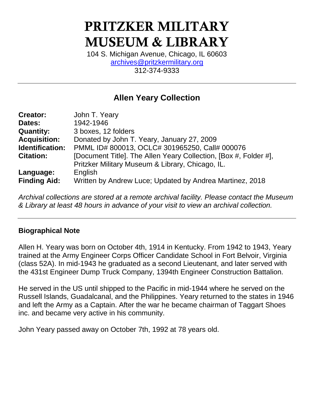# PRITZKER MILITARY MUSEUM & LIBRARY

104 S. Michigan Avenue, Chicago, IL 60603 [archives@pritzkermilitary.org](mailto:archives@pritzkermilitary.org) 312-374-9333

# **Allen Yeary Collection**

| <b>Creator:</b>     | John T. Yeary                                                    |
|---------------------|------------------------------------------------------------------|
| Dates:              | 1942-1946                                                        |
| <b>Quantity:</b>    | 3 boxes, 12 folders                                              |
| <b>Acquisition:</b> | Donated by John T. Yeary, January 27, 2009                       |
| Identification:     | PMML ID# 800013, OCLC# 301965250, Call# 000076                   |
| <b>Citation:</b>    | [Document Title]. The Allen Yeary Collection, [Box #, Folder #], |
|                     | Pritzker Military Museum & Library, Chicago, IL.                 |
| Language:           | English                                                          |
| <b>Finding Aid:</b> | Written by Andrew Luce; Updated by Andrea Martinez, 2018         |

*Archival collections are stored at a remote archival facility. Please contact the Museum & Library at least 48 hours in advance of your visit to view an archival collection.*

#### **Biographical Note**

Allen H. Yeary was born on October 4th, 1914 in Kentucky. From 1942 to 1943, Yeary trained at the Army Engineer Corps Officer Candidate School in Fort Belvoir, Virginia (class 52A). In mid-1943 he graduated as a second Lieutenant, and later served with the 431st Engineer Dump Truck Company, 1394th Engineer Construction Battalion.

He served in the US until shipped to the Pacific in mid-1944 where he served on the Russell Islands, Guadalcanal, and the Philippines. Yeary returned to the states in 1946 and left the Army as a Captain. After the war he became chairman of Taggart Shoes inc. and became very active in his community.

John Yeary passed away on October 7th, 1992 at 78 years old.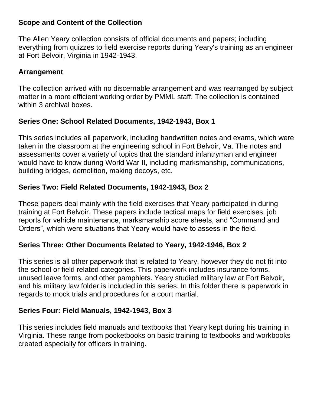#### **Scope and Content of the Collection**

The Allen Yeary collection consists of official documents and papers; including everything from quizzes to field exercise reports during Yeary's training as an engineer at Fort Belvoir, Virginia in 1942-1943.

## **Arrangement**

The collection arrived with no discernable arrangement and was rearranged by subject matter in a more efficient working order by PMML staff. The collection is contained within 3 archival boxes.

# **Series One: School Related Documents, 1942-1943, Box 1**

This series includes all paperwork, including handwritten notes and exams, which were taken in the classroom at the engineering school in Fort Belvoir, Va. The notes and assessments cover a variety of topics that the standard infantryman and engineer would have to know during World War II, including marksmanship, communications, building bridges, demolition, making decoys, etc.

# **Series Two: Field Related Documents, 1942-1943, Box 2**

These papers deal mainly with the field exercises that Yeary participated in during training at Fort Belvoir. These papers include tactical maps for field exercises, job reports for vehicle maintenance, marksmanship score sheets, and "Command and Orders", which were situations that Yeary would have to assess in the field.

## **Series Three: Other Documents Related to Yeary, 1942-1946, Box 2**

This series is all other paperwork that is related to Yeary, however they do not fit into the school or field related categories. This paperwork includes insurance forms, unused leave forms, and other pamphlets. Yeary studied military law at Fort Belvoir, and his military law folder is included in this series. In this folder there is paperwork in regards to mock trials and procedures for a court martial.

## **Series Four: Field Manuals, 1942-1943, Box 3**

This series includes field manuals and textbooks that Yeary kept during his training in Virginia. These range from pocketbooks on basic training to textbooks and workbooks created especially for officers in training.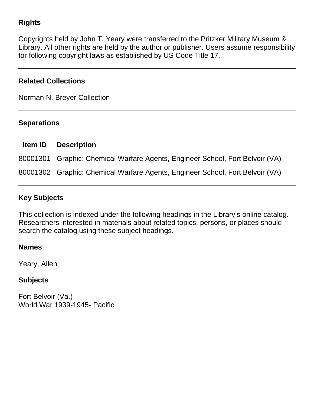# **Rights**

Copyrights held by John T. Yeary were transferred to the Pritzker Military Museum & Library. All other rights are held by the author or publisher. Users assume responsibility for following copyright laws as established by US Code Title 17.

#### **Related Collections**

Norman N. Breyer Collection

#### **Separations**

| <b>Item ID</b> | <b>Description</b>                                                            |
|----------------|-------------------------------------------------------------------------------|
|                | 80001301 Graphic: Chemical Warfare Agents, Engineer School, Fort Belvoir (VA) |
|                | 80001302 Graphic: Chemical Warfare Agents, Engineer School, Fort Belvoir (VA) |

## **Key Subjects**

This collection is indexed under the following headings in the Library's online catalog. Researchers interested in materials about related topics, persons, or places should search the catalog using these subject headings.

#### **Names**

Yeary, Allen

## **Subjects**

Fort Belvoir (Va.) World War 1939-1945- Pacific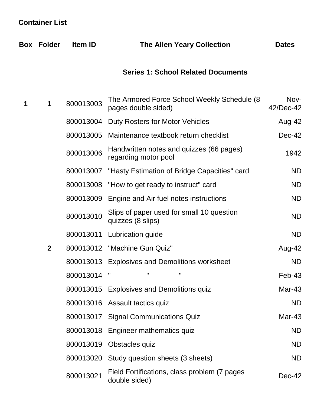# **Container List**

|   | <b>Box Folder</b> | <b>Item ID</b> | <b>The Allen Yeary Collection</b>                                   | <b>Dates</b>      |
|---|-------------------|----------------|---------------------------------------------------------------------|-------------------|
|   |                   |                | <b>Series 1: School Related Documents</b>                           |                   |
| 1 | $\mathbf 1$       | 800013003      | The Armored Force School Weekly Schedule (8)<br>pages double sided) | Nov-<br>42/Dec-42 |
|   |                   | 800013004      | Duty Rosters for Motor Vehicles                                     | Aug-42            |
|   |                   | 800013005      | Maintenance textbook return checklist                               | Dec-42            |
|   |                   | 800013006      | Handwritten notes and quizzes (66 pages)<br>regarding motor pool    | 1942              |
|   |                   | 800013007      | "Hasty Estimation of Bridge Capacities" card                        | <b>ND</b>         |
|   |                   | 800013008      | "How to get ready to instruct" card                                 | <b>ND</b>         |
|   |                   | 800013009      | Engine and Air fuel notes instructions                              | <b>ND</b>         |
|   |                   | 800013010      | Slips of paper used for small 10 question<br>quizzes (8 slips)      | <b>ND</b>         |
|   |                   | 800013011      | Lubrication guide                                                   | <b>ND</b>         |
|   | $\overline{2}$    |                | 800013012 "Machine Gun Quiz"                                        | Aug-42            |
|   |                   | 800013013      | <b>Explosives and Demolitions worksheet</b>                         | <b>ND</b>         |
|   |                   | 800013014      | п<br>Ш<br>Ш                                                         | Feb-43            |
|   |                   |                | 800013015 Explosives and Demolitions quiz                           | Mar-43            |
|   |                   |                | 800013016 Assault tactics quiz                                      | <b>ND</b>         |
|   |                   |                | 800013017 Signal Communications Quiz                                | Mar-43            |
|   |                   |                | 800013018 Engineer mathematics quiz                                 | <b>ND</b>         |
|   |                   | 800013019      | Obstacles quiz                                                      | <b>ND</b>         |
|   |                   |                | 800013020 Study question sheets (3 sheets)                          | <b>ND</b>         |
|   |                   | 800013021      | Field Fortifications, class problem (7 pages<br>double sided)       | Dec-42            |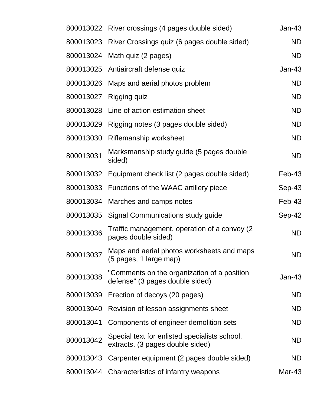| 800013022 | River crossings (4 pages double sided)                                            | $Jan-43$      |
|-----------|-----------------------------------------------------------------------------------|---------------|
| 800013023 | River Crossings quiz (6 pages double sided)                                       | <b>ND</b>     |
|           | 800013024 Math quiz (2 pages)                                                     | <b>ND</b>     |
|           | 800013025 Antiaircraft defense quiz                                               | <b>Jan-43</b> |
| 800013026 | Maps and aerial photos problem                                                    | <b>ND</b>     |
| 800013027 | Rigging quiz                                                                      | <b>ND</b>     |
| 800013028 | Line of action estimation sheet                                                   | <b>ND</b>     |
| 800013029 | Rigging notes (3 pages double sided)                                              | <b>ND</b>     |
| 800013030 | Riflemanship worksheet                                                            | <b>ND</b>     |
| 800013031 | Marksmanship study guide (5 pages double<br>sided)                                | <b>ND</b>     |
| 800013032 | Equipment check list (2 pages double sided)                                       | Feb-43        |
| 800013033 | Functions of the WAAC artillery piece                                             | $Sep-43$      |
| 800013034 | Marches and camps notes                                                           | $Feb-43$      |
| 800013035 | Signal Communications study guide                                                 | Sep-42        |
| 800013036 | Traffic management, operation of a convoy (2)<br>pages double sided)              | <b>ND</b>     |
| 800013037 | Maps and aerial photos worksheets and maps<br>(5 pages, 1 large map)              | <b>ND</b>     |
| 800013038 | "Comments on the organization of a position<br>defense" (3 pages double sided)    | $Jan-43$      |
| 800013039 | Erection of decoys (20 pages)                                                     | <b>ND</b>     |
| 800013040 | Revision of lesson assignments sheet                                              | ND            |
| 800013041 | Components of engineer demolition sets                                            | ND            |
| 800013042 | Special text for enlisted specialists school,<br>extracts. (3 pages double sided) | ND.           |
| 800013043 | Carpenter equipment (2 pages double sided)                                        | ND.           |
|           | 800013044 Characteristics of infantry weapons                                     | Mar-43        |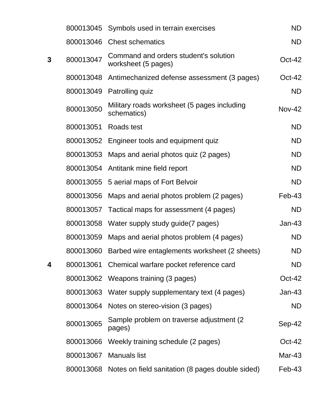|   |           | 800013045 Symbols used in terrain exercises                  | <b>ND</b>     |
|---|-----------|--------------------------------------------------------------|---------------|
|   |           | 800013046 Chest schematics                                   | <b>ND</b>     |
| 3 | 800013047 | Command and orders student's solution<br>worksheet (5 pages) | $Oct-42$      |
|   | 800013048 | Antimechanized defense assessment (3 pages)                  | $Oct-42$      |
|   | 800013049 | Patrolling quiz                                              | ND            |
|   | 800013050 | Military roads worksheet (5 pages including<br>schematics)   | $Nov-42$      |
|   | 800013051 | Roads test                                                   | <b>ND</b>     |
|   | 800013052 | Engineer tools and equipment quiz                            | <b>ND</b>     |
|   | 800013053 | Maps and aerial photos quiz (2 pages)                        | <b>ND</b>     |
|   | 800013054 | Antitank mine field report                                   | <b>ND</b>     |
|   |           | 800013055 5 aerial maps of Fort Belvoir                      | <b>ND</b>     |
|   | 800013056 | Maps and aerial photos problem (2 pages)                     | Feb-43        |
|   |           | 800013057 Tactical maps for assessment (4 pages)             | <b>ND</b>     |
|   | 800013058 | Water supply study guide (7 pages)                           | $Jan-43$      |
|   | 800013059 | Maps and aerial photos problem (4 pages)                     | <b>ND</b>     |
|   | 800013060 | Barbed wire entaglements worksheet (2 sheets)                | ND            |
| 4 | 800013061 | Chemical warfare pocket reference card                       | <b>ND</b>     |
|   | 800013062 | Weapons training (3 pages)                                   | Oct-42        |
|   | 800013063 | Water supply supplementary text (4 pages)                    | <b>Jan-43</b> |
|   | 800013064 | Notes on stereo-vision (3 pages)                             | ND            |
|   | 800013065 | Sample problem on traverse adjustment (2)<br>pages)          | Sep-42        |
|   | 800013066 | Weekly training schedule (2 pages)                           | $Oct-42$      |
|   | 800013067 | <b>Manuals list</b>                                          | Mar-43        |
|   | 800013068 | Notes on field sanitation (8 pages double sided)             | $Feb-43$      |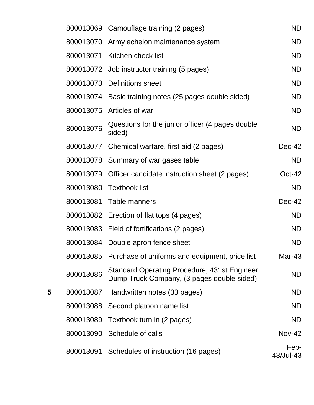|   |           | 800013069 Camouflage training (2 pages)                                                           | <b>ND</b>         |
|---|-----------|---------------------------------------------------------------------------------------------------|-------------------|
|   | 800013070 | Army echelon maintenance system                                                                   | <b>ND</b>         |
|   | 800013071 | Kitchen check list                                                                                | <b>ND</b>         |
|   |           | 800013072 Job instructor training (5 pages)                                                       | <b>ND</b>         |
|   | 800013073 | Definitions sheet                                                                                 | <b>ND</b>         |
|   | 800013074 | Basic training notes (25 pages double sided)                                                      | <b>ND</b>         |
|   | 800013075 | Articles of war                                                                                   | <b>ND</b>         |
|   | 800013076 | Questions for the junior officer (4 pages double<br>sided)                                        | <b>ND</b>         |
|   | 800013077 | Chemical warfare, first aid (2 pages)                                                             | Dec-42            |
|   |           | 800013078 Summary of war gases table                                                              | <b>ND</b>         |
|   | 800013079 | Officer candidate instruction sheet (2 pages)                                                     | $Oct-42$          |
|   |           | 800013080 Textbook list                                                                           | <b>ND</b>         |
|   | 800013081 | Table manners                                                                                     | Dec-42            |
|   |           | 800013082 Erection of flat tops (4 pages)                                                         | <b>ND</b>         |
|   |           | 800013083 Field of fortifications (2 pages)                                                       | <b>ND</b>         |
|   | 800013084 | Double apron fence sheet                                                                          | <b>ND</b>         |
|   | 800013085 | Purchase of uniforms and equipment, price list                                                    | Mar-43            |
|   | 800013086 | <b>Standard Operating Procedure, 431st Engineer</b><br>Dump Truck Company, (3 pages double sided) | ND                |
| 5 | 800013087 | Handwritten notes (33 pages)                                                                      | ND                |
|   | 800013088 | Second platoon name list                                                                          | ND                |
|   | 800013089 | Textbook turn in (2 pages)                                                                        | <b>ND</b>         |
|   | 800013090 | Schedule of calls                                                                                 | <b>Nov-42</b>     |
|   | 800013091 | Schedules of instruction (16 pages)                                                               | Feb-<br>43/Jul-43 |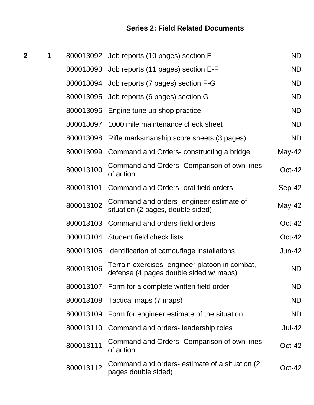# **Series 2: Field Related Documents**

| $\mathbf 2$ | 1 |           | 800013092 Job reports (10 pages) section E                                               | <b>ND</b>     |
|-------------|---|-----------|------------------------------------------------------------------------------------------|---------------|
|             |   |           | 800013093 Job reports (11 pages) section E-F                                             | <b>ND</b>     |
|             |   |           | 800013094 Job reports (7 pages) section F-G                                              | <b>ND</b>     |
|             |   | 800013095 | Job reports (6 pages) section G                                                          | <b>ND</b>     |
|             |   | 800013096 | Engine tune up shop practice                                                             | <b>ND</b>     |
|             |   | 800013097 | 1000 mile maintenance check sheet                                                        | <b>ND</b>     |
|             |   | 800013098 | Rifle marksmanship score sheets (3 pages)                                                | <b>ND</b>     |
|             |   | 800013099 | Command and Orders-constructing a bridge                                                 | $May-42$      |
|             |   | 800013100 | Command and Orders- Comparison of own lines<br>of action                                 | Oct-42        |
|             |   | 800013101 | Command and Orders- oral field orders                                                    | Sep-42        |
|             |   | 800013102 | Command and orders-engineer estimate of<br>situation (2 pages, double sided)             | May-42        |
|             |   | 800013103 | Command and orders-field orders                                                          | Oct-42        |
|             |   | 800013104 | Student field check lists                                                                | Oct-42        |
|             |   | 800013105 | Identification of camouflage installations                                               | <b>Jun-42</b> |
|             |   | 800013106 | Terrain exercises- engineer platoon in combat,<br>defense (4 pages double sided w/ maps) | <b>ND</b>     |
|             |   |           | 800013107 Form for a complete written field order                                        | <b>ND</b>     |
|             |   | 800013108 | Tactical maps (7 maps)                                                                   | <b>ND</b>     |
|             |   | 800013109 | Form for engineer estimate of the situation                                              | <b>ND</b>     |
|             |   |           | 800013110 Command and orders- leadership roles                                           | <b>Jul-42</b> |
|             |   | 800013111 | Command and Orders- Comparison of own lines<br>of action                                 | Oct-42        |
|             |   | 800013112 | Command and orders-estimate of a situation (2)<br>pages double sided)                    | Oct-42        |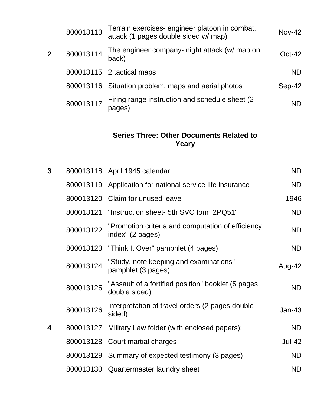|                | 800013113 | Terrain exercises-engineer platoon in combat,<br>attack (1 pages double sided w/ map) | $Nov-42$  |
|----------------|-----------|---------------------------------------------------------------------------------------|-----------|
| $\overline{2}$ | 800013114 | The engineer company- night attack (w/ map on<br>back)                                | $Oct-42$  |
|                |           | 800013115 2 tactical maps                                                             | <b>ND</b> |
|                |           | 800013116 Situation problem, maps and aerial photos                                   | Sep-42    |
|                | 800013117 | Firing range instruction and schedule sheet (2)<br>pages)                             | <b>ND</b> |

# **Series Three: Other Documents Related to Yeary**

| $\mathbf{3}$ |           | 800013118 April 1945 calendar                                         | <b>ND</b>     |
|--------------|-----------|-----------------------------------------------------------------------|---------------|
|              | 800013119 | Application for national service life insurance                       | <b>ND</b>     |
|              |           | 800013120 Claim for unused leave                                      | 1946          |
|              | 800013121 | "Instruction sheet- 5th SVC form 2PQ51"                               | <b>ND</b>     |
|              | 800013122 | "Promotion criteria and computation of efficiency<br>index" (2 pages) | <b>ND</b>     |
|              |           | 800013123 "Think It Over" pamphlet (4 pages)                          | <b>ND</b>     |
|              | 800013124 | "Study, note keeping and examinations"<br>pamphlet (3 pages)          | Aug-42        |
|              | 800013125 | "Assault of a fortified position" booklet (5 pages<br>double sided)   | <b>ND</b>     |
|              | 800013126 | Interpretation of travel orders (2 pages double<br>sided)             | <b>Jan-43</b> |
| 4            | 800013127 | Military Law folder (with enclosed papers):                           | <b>ND</b>     |
|              |           | 800013128 Court martial charges                                       | <b>Jul-42</b> |
|              | 800013129 | Summary of expected testimony (3 pages)                               | <b>ND</b>     |
|              | 800013130 | Quartermaster laundry sheet                                           | <b>ND</b>     |